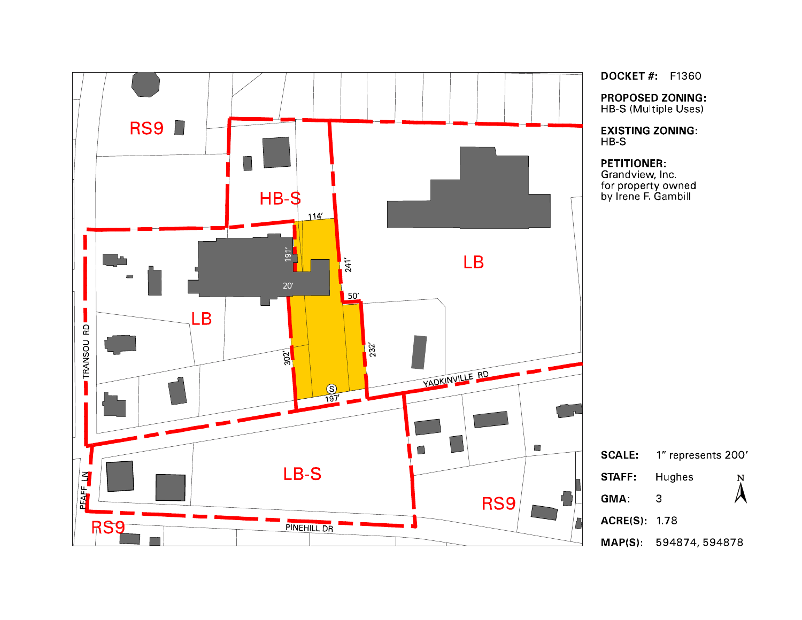

**DOCKET #: F1360** 

**PROPOSED ZONING:** HB-S (Multiple Uses)

**EXISTING ZONING:**  $HB-S$ 

## **PETITIONER:**

Grandview, Inc. for property owned<br>by Irene F. Gambill

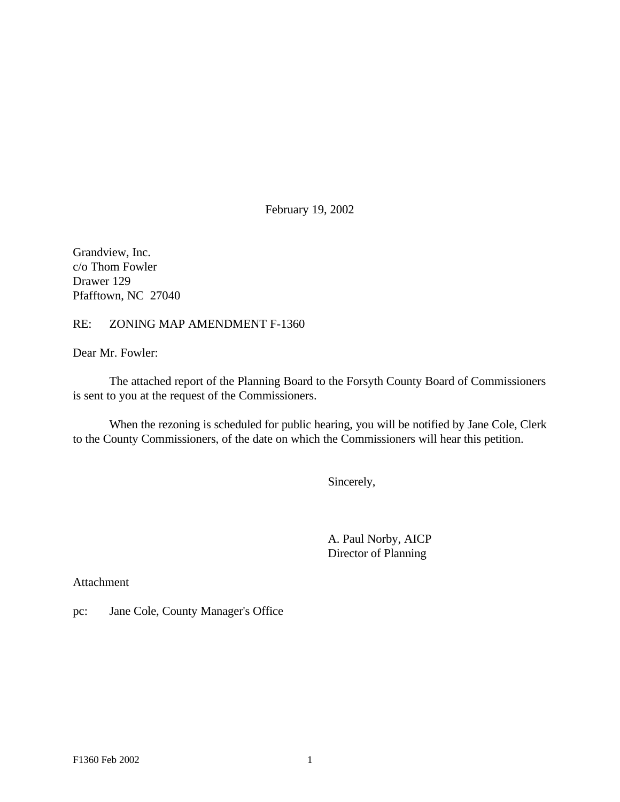February 19, 2002

Grandview, Inc. c/o Thom Fowler Drawer 129 Pfafftown, NC 27040

## RE: ZONING MAP AMENDMENT F-1360

Dear Mr. Fowler:

The attached report of the Planning Board to the Forsyth County Board of Commissioners is sent to you at the request of the Commissioners.

When the rezoning is scheduled for public hearing, you will be notified by Jane Cole, Clerk to the County Commissioners, of the date on which the Commissioners will hear this petition.

Sincerely,

A. Paul Norby, AICP Director of Planning

Attachment

pc: Jane Cole, County Manager's Office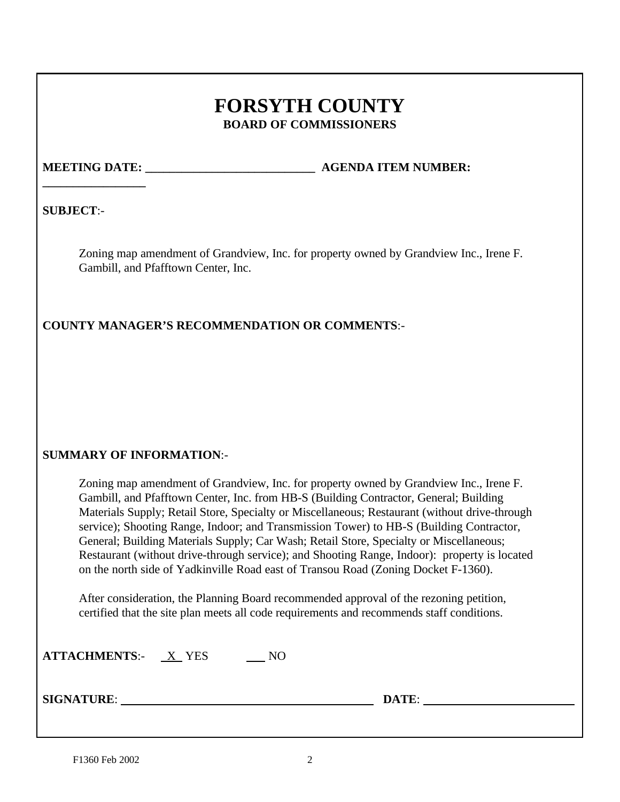# **FORSYTH COUNTY BOARD OF COMMISSIONERS**

**\_\_\_\_\_\_\_\_\_\_\_\_\_\_\_\_\_**

**MEETING DATE:**  $\qquad \qquad$  **AGENDA ITEM NUMBER:** 

**SUBJECT**:-

Zoning map amendment of Grandview, Inc. for property owned by Grandview Inc., Irene F. Gambill, and Pfafftown Center, Inc.

**COUNTY MANAGER'S RECOMMENDATION OR COMMENTS**:-

# **SUMMARY OF INFORMATION**:-

Zoning map amendment of Grandview, Inc. for property owned by Grandview Inc., Irene F. Gambill, and Pfafftown Center, Inc. from HB-S (Building Contractor, General; Building Materials Supply; Retail Store, Specialty or Miscellaneous; Restaurant (without drive-through service); Shooting Range, Indoor; and Transmission Tower) to HB-S (Building Contractor, General; Building Materials Supply; Car Wash; Retail Store, Specialty or Miscellaneous; Restaurant (without drive-through service); and Shooting Range, Indoor): property is located on the north side of Yadkinville Road east of Transou Road (Zoning Docket F-1360).

After consideration, the Planning Board recommended approval of the rezoning petition, certified that the site plan meets all code requirements and recommends staff conditions.

| <b>ATTACHMENTS:-</b> | X YES |  |
|----------------------|-------|--|
|----------------------|-------|--|

**SIGNATURE**: **DATE**: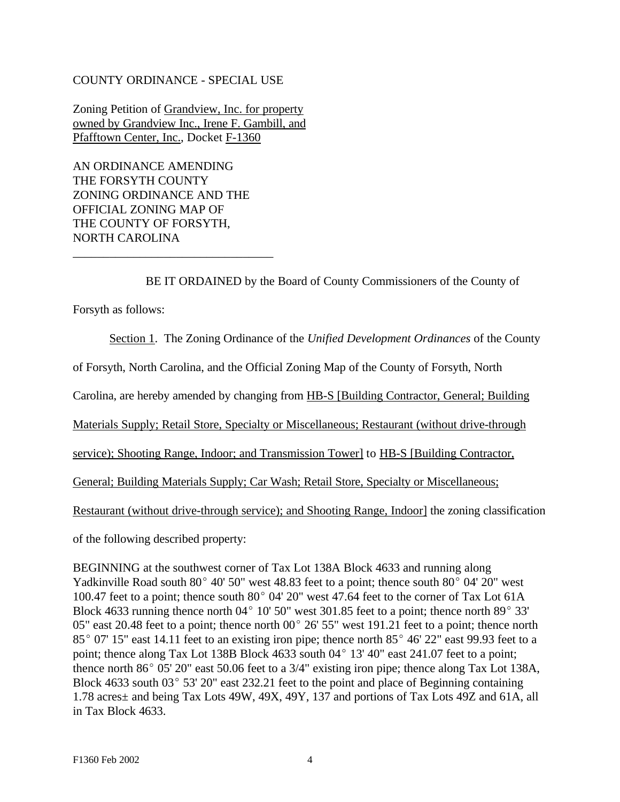## COUNTY ORDINANCE - SPECIAL USE

Zoning Petition of Grandview, Inc. for property owned by Grandview Inc., Irene F. Gambill, and Pfafftown Center, Inc., Docket F-1360

AN ORDINANCE AMENDING THE FORSYTH COUNTY ZONING ORDINANCE AND THE OFFICIAL ZONING MAP OF THE COUNTY OF FORSYTH, NORTH CAROLINA

\_\_\_\_\_\_\_\_\_\_\_\_\_\_\_\_\_\_\_\_\_\_\_\_\_\_\_\_\_\_\_\_\_

BE IT ORDAINED by the Board of County Commissioners of the County of

Forsyth as follows:

Section 1. The Zoning Ordinance of the *Unified Development Ordinances* of the County

of Forsyth, North Carolina, and the Official Zoning Map of the County of Forsyth, North

Carolina, are hereby amended by changing from HB-S [Building Contractor, General; Building

Materials Supply; Retail Store, Specialty or Miscellaneous; Restaurant (without drive-through

service); Shooting Range, Indoor; and Transmission Tower] to HB-S [Building Contractor,

General; Building Materials Supply; Car Wash; Retail Store, Specialty or Miscellaneous;

Restaurant (without drive-through service); and Shooting Range, Indoor] the zoning classification

of the following described property:

BEGINNING at the southwest corner of Tax Lot 138A Block 4633 and running along Yadkinville Road south  $80^{\circ}$  40' 50" west 48.83 feet to a point; thence south  $80^{\circ}$  04' 20" west 100.47 feet to a point; thence south  $80^{\circ}$  04' 20" west 47.64 feet to the corner of Tax Lot 61A Block 4633 running thence north 04 $^{\circ}$  10' 50" west 301.85 feet to a point; thence north 89 $^{\circ}$  33' 05" east 20.48 feet to a point; thence north 00 $^{\circ}$  26' 55" west 191.21 feet to a point; thence north  $85^{\circ}$  07' 15" east 14.11 feet to an existing iron pipe; thence north  $85^{\circ}$  46' 22" east 99.93 feet to a point; thence along Tax Lot 138B Block 4633 south  $04^{\circ}$  13' 40" east 241.07 feet to a point; thence north 86 $^{\circ}$  05' 20" east 50.06 feet to a 3/4" existing iron pipe; thence along Tax Lot 138A, Block 4633 south  $03^{\circ}$  53' 20" east 232.21 feet to the point and place of Beginning containing 1.78 acres± and being Tax Lots 49W, 49X, 49Y, 137 and portions of Tax Lots 49Z and 61A, all in Tax Block 4633.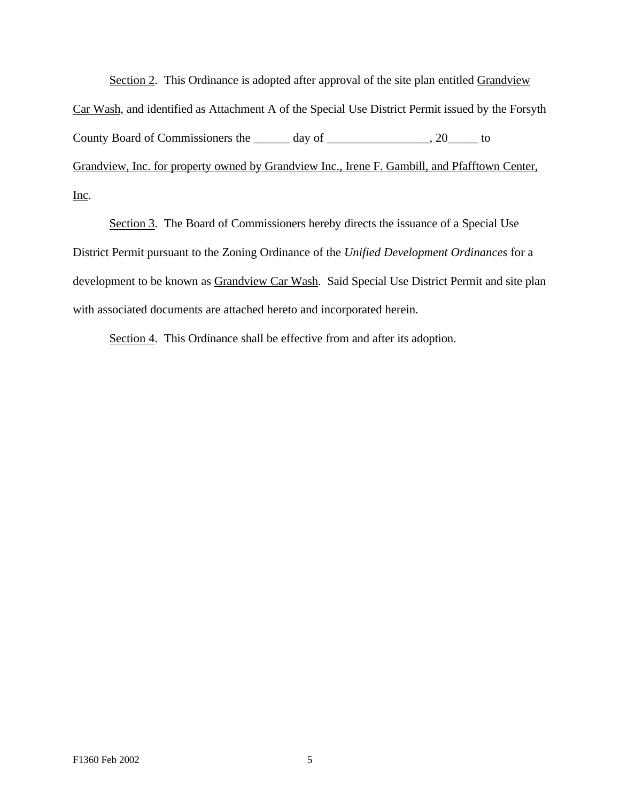Section 2. This Ordinance is adopted after approval of the site plan entitled Grandview Car Wash, and identified as Attachment A of the Special Use District Permit issued by the Forsyth County Board of Commissioners the \_\_\_\_\_\_ day of \_\_\_\_\_\_\_\_\_\_\_\_\_\_\_, 20\_\_\_\_\_\_ to Grandview, Inc. for property owned by Grandview Inc., Irene F. Gambill, and Pfafftown Center, Inc.

Section 3. The Board of Commissioners hereby directs the issuance of a Special Use District Permit pursuant to the Zoning Ordinance of the *Unified Development Ordinances* for a development to be known as Grandview Car Wash. Said Special Use District Permit and site plan with associated documents are attached hereto and incorporated herein.

Section 4. This Ordinance shall be effective from and after its adoption.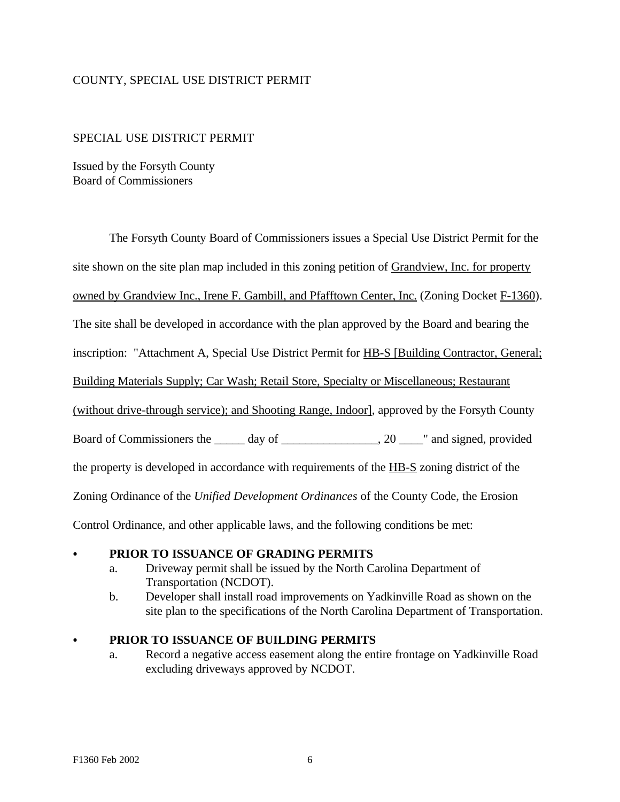## COUNTY, SPECIAL USE DISTRICT PERMIT

## SPECIAL USE DISTRICT PERMIT

Issued by the Forsyth County Board of Commissioners

The Forsyth County Board of Commissioners issues a Special Use District Permit for the

site shown on the site plan map included in this zoning petition of Grandview, Inc. for property

owned by Grandview Inc., Irene F. Gambill, and Pfafftown Center, Inc. (Zoning Docket F-1360).

The site shall be developed in accordance with the plan approved by the Board and bearing the

inscription: "Attachment A, Special Use District Permit for HB-S [Building Contractor, General;

Building Materials Supply; Car Wash; Retail Store, Specialty or Miscellaneous; Restaurant

(without drive-through service); and Shooting Range, Indoor], approved by the Forsyth County

Board of Commissioners the \_\_\_\_\_ day of \_\_\_\_\_\_\_\_\_\_\_\_\_\_, 20 \_\_\_\_\_" and signed, provided

the property is developed in accordance with requirements of the HB-S zoning district of the

Zoning Ordinance of the *Unified Development Ordinances* of the County Code, the Erosion

Control Ordinance, and other applicable laws, and the following conditions be met:

#### C **PRIOR TO ISSUANCE OF GRADING PERMITS**

- a. Driveway permit shall be issued by the North Carolina Department of Transportation (NCDOT).
- b. Developer shall install road improvements on Yadkinville Road as shown on the site plan to the specifications of the North Carolina Department of Transportation.

## C **PRIOR TO ISSUANCE OF BUILDING PERMITS**

a. Record a negative access easement along the entire frontage on Yadkinville Road excluding driveways approved by NCDOT.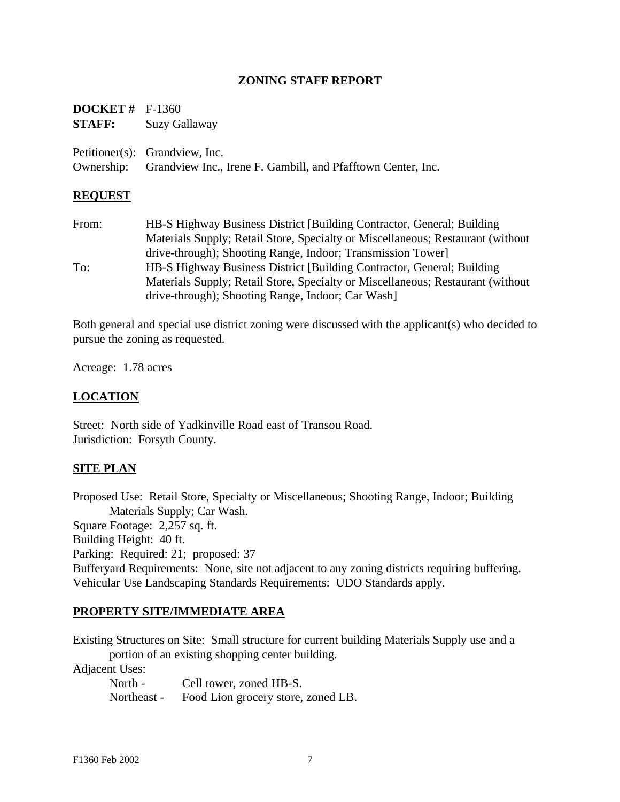## **ZONING STAFF REPORT**

| <b>DOCKET</b> $#$ F-1360 |                                                                                                           |
|--------------------------|-----------------------------------------------------------------------------------------------------------|
| STAFF:                   | Suzy Gallaway                                                                                             |
|                          | Petitioner(s): Grandview, Inc.<br>Ownership: Grandview Inc., Irene F. Gambill, and Pfafftown Center, Inc. |
|                          |                                                                                                           |

## **REQUEST**

From: HB-S Highway Business District [Building Contractor, General; Building Materials Supply; Retail Store, Specialty or Miscellaneous; Restaurant (without drive-through); Shooting Range, Indoor; Transmission Tower] To: HB-S Highway Business District [Building Contractor, General; Building Materials Supply; Retail Store, Specialty or Miscellaneous; Restaurant (without drive-through); Shooting Range, Indoor; Car Wash]

Both general and special use district zoning were discussed with the applicant(s) who decided to pursue the zoning as requested.

Acreage: 1.78 acres

## **LOCATION**

Street: North side of Yadkinville Road east of Transou Road. Jurisdiction: Forsyth County.

## **SITE PLAN**

Proposed Use: Retail Store, Specialty or Miscellaneous; Shooting Range, Indoor; Building Materials Supply; Car Wash.

Square Footage: 2,257 sq. ft.

Building Height: 40 ft.

Parking: Required: 21; proposed: 37

Bufferyard Requirements: None, site not adjacent to any zoning districts requiring buffering. Vehicular Use Landscaping Standards Requirements: UDO Standards apply.

## **PROPERTY SITE/IMMEDIATE AREA**

Existing Structures on Site: Small structure for current building Materials Supply use and a portion of an existing shopping center building.

Adjacent Uses:

North - Cell tower, zoned HB-S. Northeast - Food Lion grocery store, zoned LB.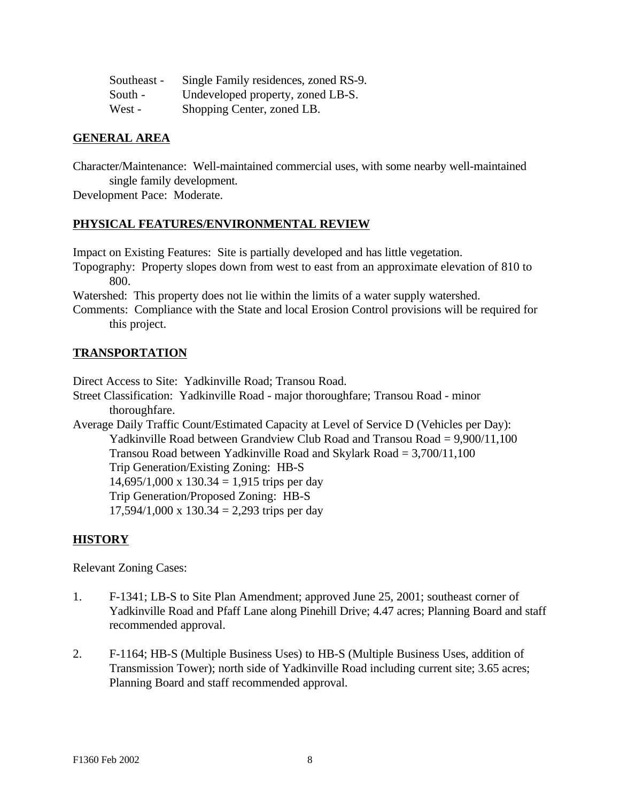| Southeast - | Single Family residences, zoned RS-9. |
|-------------|---------------------------------------|
| South -     | Undeveloped property, zoned LB-S.     |
| West -      | Shopping Center, zoned LB.            |

## **GENERAL AREA**

Character/Maintenance: Well-maintained commercial uses, with some nearby well-maintained single family development.

Development Pace: Moderate.

## **PHYSICAL FEATURES/ENVIRONMENTAL REVIEW**

Impact on Existing Features: Site is partially developed and has little vegetation.

Topography: Property slopes down from west to east from an approximate elevation of 810 to 800.

Watershed: This property does not lie within the limits of a water supply watershed.

Comments: Compliance with the State and local Erosion Control provisions will be required for this project.

## **TRANSPORTATION**

Direct Access to Site: Yadkinville Road; Transou Road.

- Street Classification: Yadkinville Road major thoroughfare; Transou Road minor thoroughfare.
- Average Daily Traffic Count/Estimated Capacity at Level of Service D (Vehicles per Day): Yadkinville Road between Grandview Club Road and Transou Road = 9,900/11,100 Transou Road between Yadkinville Road and Skylark Road = 3,700/11,100 Trip Generation/Existing Zoning: HB-S  $14,695/1,000 \text{ x } 130.34 = 1,915 \text{ trips per day}$ Trip Generation/Proposed Zoning: HB-S  $17,594/1,000 \text{ x } 130.34 = 2,293 \text{ trips per day}$

## **HISTORY**

Relevant Zoning Cases:

- 1. F-1341; LB-S to Site Plan Amendment; approved June 25, 2001; southeast corner of Yadkinville Road and Pfaff Lane along Pinehill Drive; 4.47 acres; Planning Board and staff recommended approval.
- 2. F-1164; HB-S (Multiple Business Uses) to HB-S (Multiple Business Uses, addition of Transmission Tower); north side of Yadkinville Road including current site; 3.65 acres; Planning Board and staff recommended approval.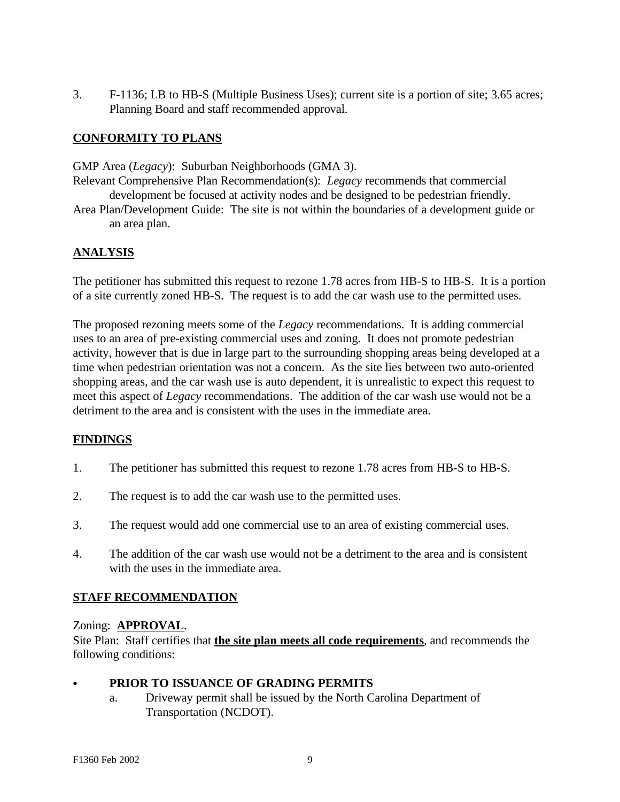3. F-1136; LB to HB-S (Multiple Business Uses); current site is a portion of site; 3.65 acres; Planning Board and staff recommended approval.

# **CONFORMITY TO PLANS**

GMP Area (*Legacy*): Suburban Neighborhoods (GMA 3).

- Relevant Comprehensive Plan Recommendation(s): *Legacy* recommends that commercial development be focused at activity nodes and be designed to be pedestrian friendly.
- Area Plan/Development Guide: The site is not within the boundaries of a development guide or an area plan.

# **ANALYSIS**

The petitioner has submitted this request to rezone 1.78 acres from HB-S to HB-S. It is a portion of a site currently zoned HB-S. The request is to add the car wash use to the permitted uses.

The proposed rezoning meets some of the *Legacy* recommendations. It is adding commercial uses to an area of pre-existing commercial uses and zoning. It does not promote pedestrian activity, however that is due in large part to the surrounding shopping areas being developed at a time when pedestrian orientation was not a concern. As the site lies between two auto-oriented shopping areas, and the car wash use is auto dependent, it is unrealistic to expect this request to meet this aspect of *Legacy* recommendations. The addition of the car wash use would not be a detriment to the area and is consistent with the uses in the immediate area.

# **FINDINGS**

- 1. The petitioner has submitted this request to rezone 1.78 acres from HB-S to HB-S.
- 2. The request is to add the car wash use to the permitted uses.
- 3. The request would add one commercial use to an area of existing commercial uses.
- 4. The addition of the car wash use would not be a detriment to the area and is consistent with the uses in the immediate area.

# **STAFF RECOMMENDATION**

# Zoning: **APPROVAL**.

Site Plan: Staff certifies that **the site plan meets all code requirements**, and recommends the following conditions:

# C **PRIOR TO ISSUANCE OF GRADING PERMITS**

a. Driveway permit shall be issued by the North Carolina Department of Transportation (NCDOT).